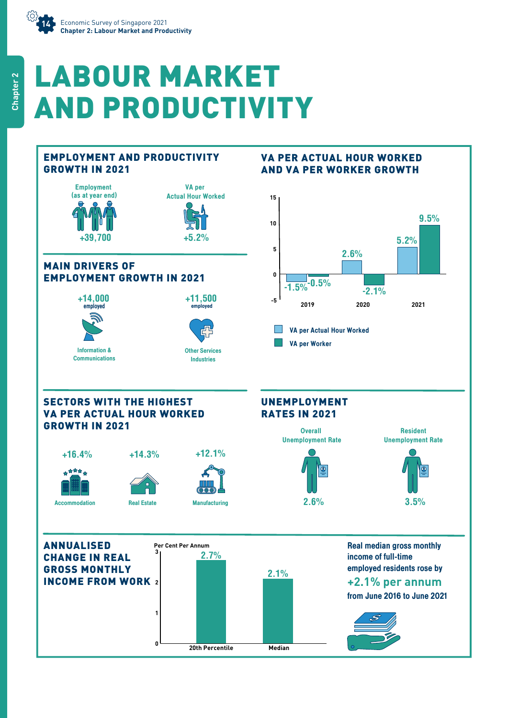

# LABOUR MARKET AND PRODUCTIVITY

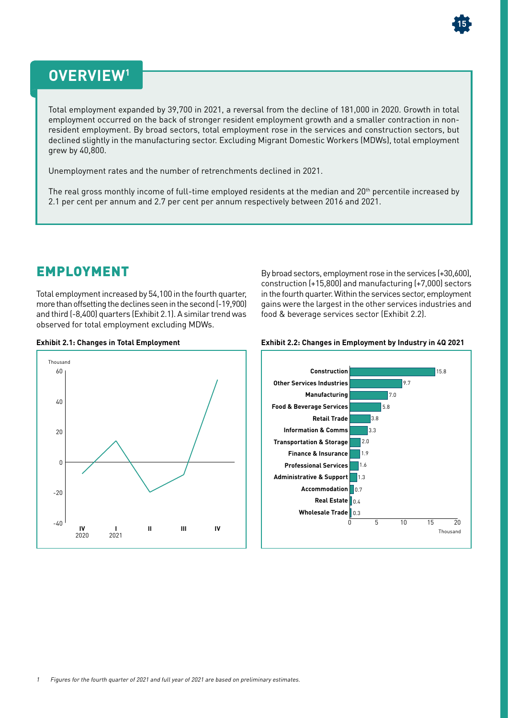

# **OVERVIEW1**

Total employment expanded by 39,700 in 2021, a reversal from the decline of 181,000 in 2020. Growth in total employment occurred on the back of stronger resident employment growth and a smaller contraction in nonresident employment. By broad sectors, total employment rose in the services and construction sectors, but declined slightly in the manufacturing sector. Excluding Migrant Domestic Workers (MDWs), total employment grew by 40,800.

Unemployment rates and the number of retrenchments declined in 2021.

The real gross monthly income of full-time employed residents at the median and 20<sup>th</sup> percentile increased by 2.1 per cent per annum and 2.7 per cent per annum respectively between 2016 and 2021.

### EMPLOYMENT

Total employment increased by 54,100 in the fourth quarter, more than offsetting the declines seen in the second (-19,900) and third (-8,400) quarters (Exhibit 2.1). A similar trend was observed for total employment excluding MDWs.

By broad sectors, employment rose in the services (+30,600), construction (+15,800) and manufacturing (+7,000) sectors in the fourth quarter. Within the services sector, employment gains were the largest in the other services industries and food & beverage services sector (Exhibit 2.2).





#### **Exhibit 2.1: Changes in Total Employment Exhibit 2.2: Changes in Employment by Industry in 4Q 2021**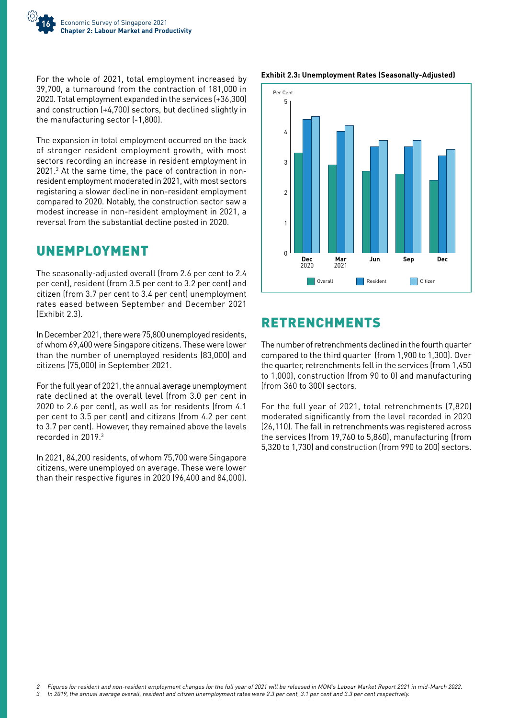

For the whole of 2021, total employment increased by 39,700, a turnaround from the contraction of 181,000 in 2020. Total employment expanded in the services (+36,300) and construction (+4,700) sectors, but declined slightly in the manufacturing sector (-1,800).

The expansion in total employment occurred on the back of stronger resident employment growth, with most sectors recording an increase in resident employment in 2021.<sup>2</sup> At the same time, the pace of contraction in nonresident employment moderated in 2021, with most sectors registering a slower decline in non-resident employment compared to 2020. Notably, the construction sector saw a modest increase in non-resident employment in 2021, a reversal from the substantial decline posted in 2020.

## UNEMPLOYMENT

The seasonally-adjusted overall (from 2.6 per cent to 2.4 per cent), resident (from 3.5 per cent to 3.2 per cent) and citizen (from 3.7 per cent to 3.4 per cent) unemployment rates eased between September and December 2021 (Exhibit 2.3).

In December 2021, there were 75,800 unemployed residents, of whom 69,400 were Singapore citizens. These were lower than the number of unemployed residents (83,000) and citizens (75,000) in September 2021.

For the full year of 2021, the annual average unemployment rate declined at the overall level (from 3.0 per cent in 2020 to 2.6 per cent), as well as for residents (from 4.1 per cent to 3.5 per cent) and citizens (from 4.2 per cent to 3.7 per cent). However, they remained above the levels recorded in 2019.3

In 2021, 84,200 residents, of whom 75,700 were Singapore citizens, were unemployed on average. These were lower than their respective figures in 2020 (96,400 and 84,000).





# RETRENCHMENTS

The number of retrenchments declined in the fourth quarter compared to the third quarter (from 1,900 to 1,300). Over the quarter, retrenchments fell in the services (from 1,450 to 1,000), construction (from 90 to 0) and manufacturing (from 360 to 300) sectors.

For the full year of 2021, total retrenchments (7,820) moderated significantly from the level recorded in 2020 (26,110). The fall in retrenchments was registered across the services (from 19,760 to 5,860), manufacturing (from 5,320 to 1,730) and construction (from 990 to 200) sectors.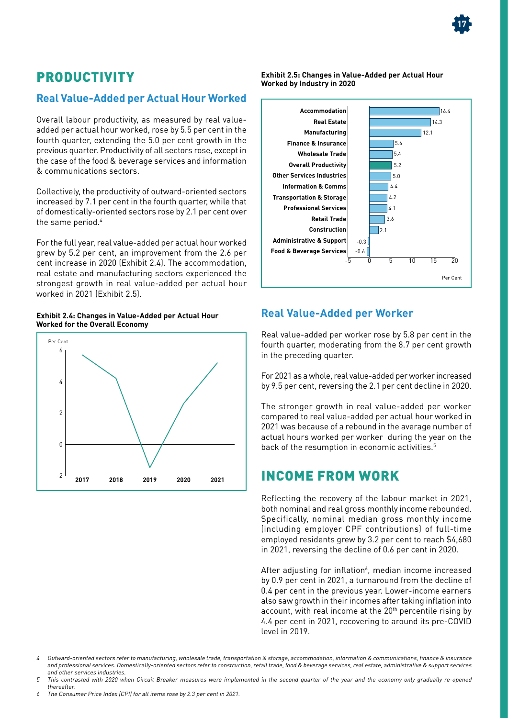# PRODUCTIVITY

#### **Real Value-Added per Actual Hour Worked**

Overall labour productivity, as measured by real valueadded per actual hour worked, rose by 5.5 per cent in the fourth quarter, extending the 5.0 per cent growth in the previous quarter. Productivity of all sectors rose, except in the case of the food & beverage services and information & communications sectors.

Collectively, the productivity of outward-oriented sectors increased by 7.1 per cent in the fourth quarter, while that of domestically-oriented sectors rose by 2.1 per cent over the same period.<sup>4</sup>

For the full year, real value-added per actual hour worked grew by 5.2 per cent, an improvement from the 2.6 per cent increase in 2020 (Exhibit 2.4). The accommodation, real estate and manufacturing sectors experienced the strongest growth in real value-added per actual hour worked in 2021 (Exhibit 2.5).

**Exhibit 2.4: Changes in Value-Added per Actual Hour Worked for the Overall Economy**



**Exhibit 2.5: Changes in Value-Added per Actual Hour Worked by Industry in 2020**



#### **Real Value-Added per Worker**

Real value-added per worker rose by 5.8 per cent in the fourth quarter, moderating from the 8.7 per cent growth in the preceding quarter.

For 2021 as a whole, real value-added per worker increased by 9.5 per cent, reversing the 2.1 per cent decline in 2020.

The stronger growth in real value-added per worker compared to real value-added per actual hour worked in 2021 was because of a rebound in the average number of actual hours worked per worker during the year on the back of the resumption in economic activities.<sup>5</sup>

#### INCOME FROM WORK

Reflecting the recovery of the labour market in 2021, both nominal and real gross monthly income rebounded. Specifically, nominal median gross monthly income (including employer CPF contributions) of full-time employed residents grew by 3.2 per cent to reach \$4,680 in 2021, reversing the decline of 0.6 per cent in 2020.

After adjusting for inflation<sup>6</sup>, median income increased by 0.9 per cent in 2021, a turnaround from the decline of 0.4 per cent in the previous year. Lower-income earners also saw growth in their incomes after taking inflation into account, with real income at the 20<sup>th</sup> percentile rising by 4.4 per cent in 2021, recovering to around its pre-COVID level in 2019.

- Outward-oriented sectors refer to manufacturing, wholesale trade, transportation & storage, accommodation, information & communications, finance & insurance and professional services. Domestically-oriented sectors refer to construction, retail trade, food & beverage services, real estate, administrative & support services and other services industries.
- 5 This contrasted with 2020 when Circuit Breaker measures were implemented in the second quarter of the year and the economy only gradually re-opened thereafter.



The Consumer Price Index (CPI) for all items rose by 2.3 per cent in 2021.